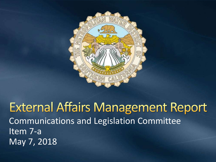

**External Affairs Management Report** Communications and Legislation Committee Item 7-a May 7, 2018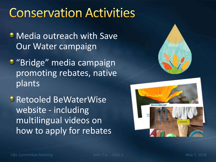#### **Conservation Activities**

- **Media outreach with Save** Our Water campaign
- **•** "Bridge" media campaign promoting rebates, native plants
- **Retooled BeWaterWise** website - including multilingual videos on how to apply for rebates



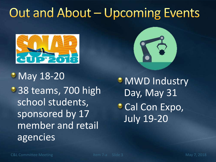## Out and About - Upcoming Events



**• May 18-20** <sup>3</sup> 38 teams, 700 high school students, sponsored by 17 member and retail agencies



**MWD Industry** Day, May 31 **Cal Con Expo,** July 19-20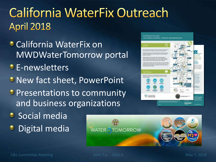#### **California WaterFix Outreach April 2018**

- California WaterFix on MWDWaterTomorrow portal
- **E-newsletters**
- **C** New fact sheet, PowerPoint
- **Presentations to community** and business organizations
- **Social media**
- Digital media٥

**WATER TOMORROW** 

**MODERNIZING INE SYSTEM** 

CALIFORNIA WATERFIX - PROJECT IMPLEMENTATION

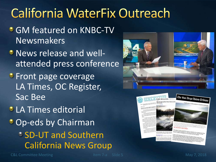# **California WaterFix Outreach**

- **GM featured on KNBC-TV** Newsmakers
- News release and wellattended press conference
- **Front page coverage** LA Times, OC Register, Sac Bee

*C* LA Times editorial **Op-eds by Chairman SD-UT and Southern** California News Group





C&L Committee Meeting The Term of The Item 7-a Slide 5 May 7, 2018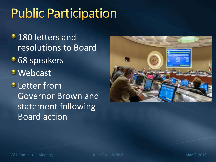# **Public Participation**

**180 letters and** resolutions to Board • 68 speakers Webcast **D** Letter from Governor Brown and statement following Board action

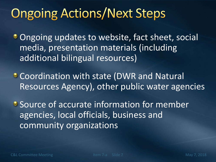## **Ongoing Actions/Next Steps**

**Ongoing updates to website, fact sheet, social** media, presentation materials (including additional bilingual resources)

Coordination with state (DWR and Natural Resources Agency), other public water agencies

**• Source of accurate information for member** agencies, local officials, business and community organizations